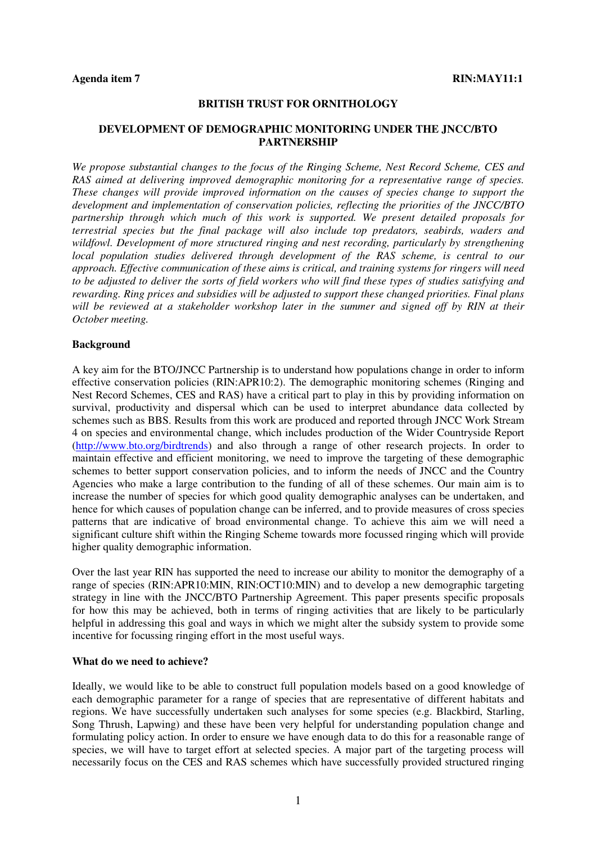#### **BRITISH TRUST FOR ORNITHOLOGY**

## **DEVELOPMENT OF DEMOGRAPHIC MONITORING UNDER THE JNCC/BTO PARTNERSHIP**

*We propose substantial changes to the focus of the Ringing Scheme, Nest Record Scheme, CES and RAS aimed at delivering improved demographic monitoring for a representative range of species. These changes will provide improved information on the causes of species change to support the development and implementation of conservation policies, reflecting the priorities of the JNCC/BTO partnership through which much of this work is supported. We present detailed proposals for terrestrial species but the final package will also include top predators, seabirds, waders and wildfowl. Development of more structured ringing and nest recording, particularly by strengthening local population studies delivered through development of the RAS scheme, is central to our approach. Effective communication of these aims is critical, and training systems for ringers will need to be adjusted to deliver the sorts of field workers who will find these types of studies satisfying and rewarding. Ring prices and subsidies will be adjusted to support these changed priorities. Final plans will be reviewed at a stakeholder workshop later in the summer and signed off by RIN at their October meeting.* 

#### **Background**

A key aim for the BTO/JNCC Partnership is to understand how populations change in order to inform effective conservation policies (RIN:APR10:2). The demographic monitoring schemes (Ringing and Nest Record Schemes, CES and RAS) have a critical part to play in this by providing information on survival, productivity and dispersal which can be used to interpret abundance data collected by schemes such as BBS. Results from this work are produced and reported through JNCC Work Stream 4 on species and environmental change, which includes production of the Wider Countryside Report (http://www.bto.org/birdtrends) and also through a range of other research projects. In order to maintain effective and efficient monitoring, we need to improve the targeting of these demographic schemes to better support conservation policies, and to inform the needs of JNCC and the Country Agencies who make a large contribution to the funding of all of these schemes. Our main aim is to increase the number of species for which good quality demographic analyses can be undertaken, and hence for which causes of population change can be inferred, and to provide measures of cross species patterns that are indicative of broad environmental change. To achieve this aim we will need a significant culture shift within the Ringing Scheme towards more focussed ringing which will provide higher quality demographic information.

Over the last year RIN has supported the need to increase our ability to monitor the demography of a range of species (RIN:APR10:MIN, RIN:OCT10:MIN) and to develop a new demographic targeting strategy in line with the JNCC/BTO Partnership Agreement. This paper presents specific proposals for how this may be achieved, both in terms of ringing activities that are likely to be particularly helpful in addressing this goal and ways in which we might alter the subsidy system to provide some incentive for focussing ringing effort in the most useful ways.

#### **What do we need to achieve?**

Ideally, we would like to be able to construct full population models based on a good knowledge of each demographic parameter for a range of species that are representative of different habitats and regions. We have successfully undertaken such analyses for some species (e.g. Blackbird, Starling, Song Thrush, Lapwing) and these have been very helpful for understanding population change and formulating policy action. In order to ensure we have enough data to do this for a reasonable range of species, we will have to target effort at selected species. A major part of the targeting process will necessarily focus on the CES and RAS schemes which have successfully provided structured ringing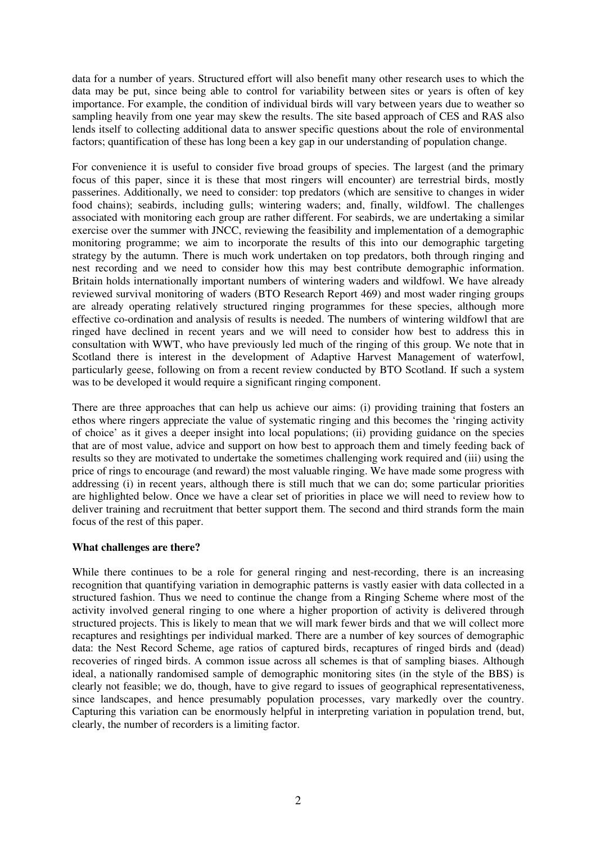data for a number of years. Structured effort will also benefit many other research uses to which the data may be put, since being able to control for variability between sites or years is often of key importance. For example, the condition of individual birds will vary between years due to weather so sampling heavily from one year may skew the results. The site based approach of CES and RAS also lends itself to collecting additional data to answer specific questions about the role of environmental factors; quantification of these has long been a key gap in our understanding of population change.

For convenience it is useful to consider five broad groups of species. The largest (and the primary focus of this paper, since it is these that most ringers will encounter) are terrestrial birds, mostly passerines. Additionally, we need to consider: top predators (which are sensitive to changes in wider food chains); seabirds, including gulls; wintering waders; and, finally, wildfowl. The challenges associated with monitoring each group are rather different. For seabirds, we are undertaking a similar exercise over the summer with JNCC, reviewing the feasibility and implementation of a demographic monitoring programme; we aim to incorporate the results of this into our demographic targeting strategy by the autumn. There is much work undertaken on top predators, both through ringing and nest recording and we need to consider how this may best contribute demographic information. Britain holds internationally important numbers of wintering waders and wildfowl. We have already reviewed survival monitoring of waders (BTO Research Report 469) and most wader ringing groups are already operating relatively structured ringing programmes for these species, although more effective co-ordination and analysis of results is needed. The numbers of wintering wildfowl that are ringed have declined in recent years and we will need to consider how best to address this in consultation with WWT, who have previously led much of the ringing of this group. We note that in Scotland there is interest in the development of Adaptive Harvest Management of waterfowl, particularly geese, following on from a recent review conducted by BTO Scotland. If such a system was to be developed it would require a significant ringing component.

There are three approaches that can help us achieve our aims: (i) providing training that fosters an ethos where ringers appreciate the value of systematic ringing and this becomes the 'ringing activity of choice' as it gives a deeper insight into local populations; (ii) providing guidance on the species that are of most value, advice and support on how best to approach them and timely feeding back of results so they are motivated to undertake the sometimes challenging work required and (iii) using the price of rings to encourage (and reward) the most valuable ringing. We have made some progress with addressing (i) in recent years, although there is still much that we can do; some particular priorities are highlighted below. Once we have a clear set of priorities in place we will need to review how to deliver training and recruitment that better support them. The second and third strands form the main focus of the rest of this paper.

## **What challenges are there?**

While there continues to be a role for general ringing and nest-recording, there is an increasing recognition that quantifying variation in demographic patterns is vastly easier with data collected in a structured fashion. Thus we need to continue the change from a Ringing Scheme where most of the activity involved general ringing to one where a higher proportion of activity is delivered through structured projects. This is likely to mean that we will mark fewer birds and that we will collect more recaptures and resightings per individual marked. There are a number of key sources of demographic data: the Nest Record Scheme, age ratios of captured birds, recaptures of ringed birds and (dead) recoveries of ringed birds. A common issue across all schemes is that of sampling biases. Although ideal, a nationally randomised sample of demographic monitoring sites (in the style of the BBS) is clearly not feasible; we do, though, have to give regard to issues of geographical representativeness, since landscapes, and hence presumably population processes, vary markedly over the country. Capturing this variation can be enormously helpful in interpreting variation in population trend, but, clearly, the number of recorders is a limiting factor.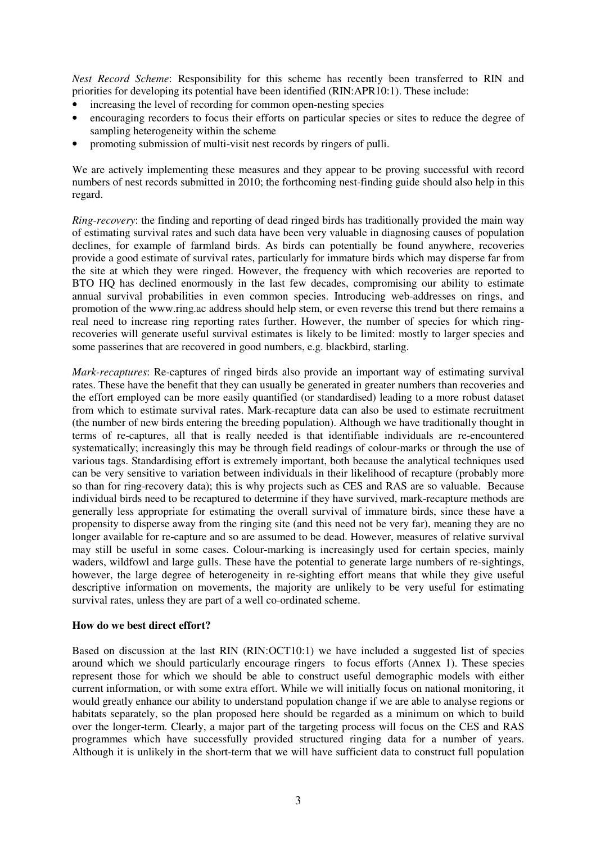*Nest Record Scheme*: Responsibility for this scheme has recently been transferred to RIN and priorities for developing its potential have been identified (RIN:APR10:1). These include:

- increasing the level of recording for common open-nesting species
- encouraging recorders to focus their efforts on particular species or sites to reduce the degree of sampling heterogeneity within the scheme
- promoting submission of multi-visit nest records by ringers of pulli.

We are actively implementing these measures and they appear to be proving successful with record numbers of nest records submitted in 2010; the forthcoming nest-finding guide should also help in this regard.

*Ring-recovery*: the finding and reporting of dead ringed birds has traditionally provided the main way of estimating survival rates and such data have been very valuable in diagnosing causes of population declines, for example of farmland birds. As birds can potentially be found anywhere, recoveries provide a good estimate of survival rates, particularly for immature birds which may disperse far from the site at which they were ringed. However, the frequency with which recoveries are reported to BTO HQ has declined enormously in the last few decades, compromising our ability to estimate annual survival probabilities in even common species. Introducing web-addresses on rings, and promotion of the www.ring.ac address should help stem, or even reverse this trend but there remains a real need to increase ring reporting rates further. However, the number of species for which ringrecoveries will generate useful survival estimates is likely to be limited: mostly to larger species and some passerines that are recovered in good numbers, e.g. blackbird, starling.

*Mark-recaptures*: Re-captures of ringed birds also provide an important way of estimating survival rates. These have the benefit that they can usually be generated in greater numbers than recoveries and the effort employed can be more easily quantified (or standardised) leading to a more robust dataset from which to estimate survival rates. Mark-recapture data can also be used to estimate recruitment (the number of new birds entering the breeding population). Although we have traditionally thought in terms of re-captures, all that is really needed is that identifiable individuals are re-encountered systematically; increasingly this may be through field readings of colour-marks or through the use of various tags. Standardising effort is extremely important, both because the analytical techniques used can be very sensitive to variation between individuals in their likelihood of recapture (probably more so than for ring-recovery data); this is why projects such as CES and RAS are so valuable. Because individual birds need to be recaptured to determine if they have survived, mark-recapture methods are generally less appropriate for estimating the overall survival of immature birds, since these have a propensity to disperse away from the ringing site (and this need not be very far), meaning they are no longer available for re-capture and so are assumed to be dead. However, measures of relative survival may still be useful in some cases. Colour-marking is increasingly used for certain species, mainly waders, wildfowl and large gulls. These have the potential to generate large numbers of re-sightings, however, the large degree of heterogeneity in re-sighting effort means that while they give useful descriptive information on movements, the majority are unlikely to be very useful for estimating survival rates, unless they are part of a well co-ordinated scheme.

## **How do we best direct effort?**

Based on discussion at the last RIN (RIN:OCT10:1) we have included a suggested list of species around which we should particularly encourage ringers to focus efforts (Annex 1). These species represent those for which we should be able to construct useful demographic models with either current information, or with some extra effort. While we will initially focus on national monitoring, it would greatly enhance our ability to understand population change if we are able to analyse regions or habitats separately, so the plan proposed here should be regarded as a minimum on which to build over the longer-term. Clearly, a major part of the targeting process will focus on the CES and RAS programmes which have successfully provided structured ringing data for a number of years. Although it is unlikely in the short-term that we will have sufficient data to construct full population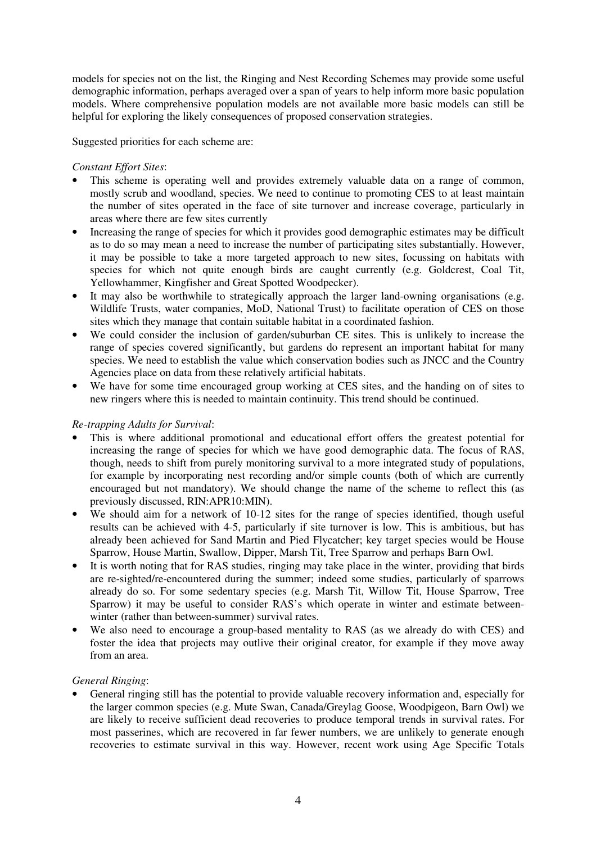models for species not on the list, the Ringing and Nest Recording Schemes may provide some useful demographic information, perhaps averaged over a span of years to help inform more basic population models. Where comprehensive population models are not available more basic models can still be helpful for exploring the likely consequences of proposed conservation strategies.

Suggested priorities for each scheme are:

# *Constant Effort Sites*:

- This scheme is operating well and provides extremely valuable data on a range of common, mostly scrub and woodland, species. We need to continue to promoting CES to at least maintain the number of sites operated in the face of site turnover and increase coverage, particularly in areas where there are few sites currently
- Increasing the range of species for which it provides good demographic estimates may be difficult as to do so may mean a need to increase the number of participating sites substantially. However, it may be possible to take a more targeted approach to new sites, focussing on habitats with species for which not quite enough birds are caught currently (e.g. Goldcrest, Coal Tit, Yellowhammer, Kingfisher and Great Spotted Woodpecker).
- It may also be worthwhile to strategically approach the larger land-owning organisations (e.g. Wildlife Trusts, water companies, MoD, National Trust) to facilitate operation of CES on those sites which they manage that contain suitable habitat in a coordinated fashion.
- We could consider the inclusion of garden/suburban CE sites. This is unlikely to increase the range of species covered significantly, but gardens do represent an important habitat for many species. We need to establish the value which conservation bodies such as JNCC and the Country Agencies place on data from these relatively artificial habitats.
- We have for some time encouraged group working at CES sites, and the handing on of sites to new ringers where this is needed to maintain continuity. This trend should be continued.

# *Re-trapping Adults for Survival*:

- This is where additional promotional and educational effort offers the greatest potential for increasing the range of species for which we have good demographic data. The focus of RAS, though, needs to shift from purely monitoring survival to a more integrated study of populations, for example by incorporating nest recording and/or simple counts (both of which are currently encouraged but not mandatory). We should change the name of the scheme to reflect this (as previously discussed, RIN:APR10:MIN).
- We should aim for a network of 10-12 sites for the range of species identified, though useful results can be achieved with 4-5, particularly if site turnover is low. This is ambitious, but has already been achieved for Sand Martin and Pied Flycatcher; key target species would be House Sparrow, House Martin, Swallow, Dipper, Marsh Tit, Tree Sparrow and perhaps Barn Owl.
- It is worth noting that for RAS studies, ringing may take place in the winter, providing that birds are re-sighted/re-encountered during the summer; indeed some studies, particularly of sparrows already do so. For some sedentary species (e.g. Marsh Tit, Willow Tit, House Sparrow, Tree Sparrow) it may be useful to consider RAS's which operate in winter and estimate betweenwinter (rather than between-summer) survival rates.
- We also need to encourage a group-based mentality to RAS (as we already do with CES) and foster the idea that projects may outlive their original creator, for example if they move away from an area.

## *General Ringing*:

• General ringing still has the potential to provide valuable recovery information and, especially for the larger common species (e.g. Mute Swan, Canada/Greylag Goose, Woodpigeon, Barn Owl) we are likely to receive sufficient dead recoveries to produce temporal trends in survival rates. For most passerines, which are recovered in far fewer numbers, we are unlikely to generate enough recoveries to estimate survival in this way. However, recent work using Age Specific Totals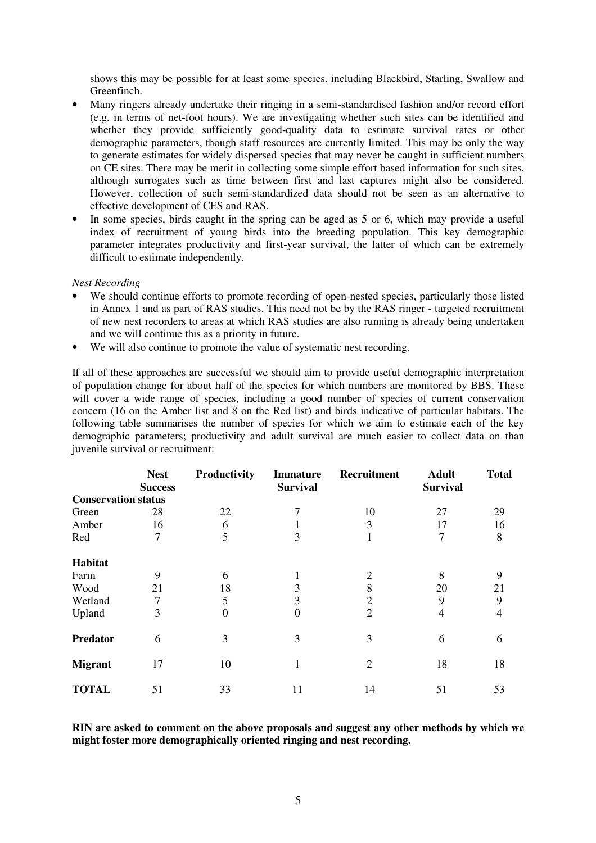shows this may be possible for at least some species, including Blackbird, Starling, Swallow and Greenfinch.

- Many ringers already undertake their ringing in a semi-standardised fashion and/or record effort (e.g. in terms of net-foot hours). We are investigating whether such sites can be identified and whether they provide sufficiently good-quality data to estimate survival rates or other demographic parameters, though staff resources are currently limited. This may be only the way to generate estimates for widely dispersed species that may never be caught in sufficient numbers on CE sites. There may be merit in collecting some simple effort based information for such sites, although surrogates such as time between first and last captures might also be considered. However, collection of such semi-standardized data should not be seen as an alternative to effective development of CES and RAS.
- In some species, birds caught in the spring can be aged as 5 or 6, which may provide a useful index of recruitment of young birds into the breeding population. This key demographic parameter integrates productivity and first-year survival, the latter of which can be extremely difficult to estimate independently.

## *Nest Recording*

- We should continue efforts to promote recording of open-nested species, particularly those listed in Annex 1 and as part of RAS studies. This need not be by the RAS ringer - targeted recruitment of new nest recorders to areas at which RAS studies are also running is already being undertaken and we will continue this as a priority in future.
- We will also continue to promote the value of systematic nest recording.

If all of these approaches are successful we should aim to provide useful demographic interpretation of population change for about half of the species for which numbers are monitored by BBS. These will cover a wide range of species, including a good number of species of current conservation concern (16 on the Amber list and 8 on the Red list) and birds indicative of particular habitats. The following table summarises the number of species for which we aim to estimate each of the key demographic parameters; productivity and adult survival are much easier to collect data on than juvenile survival or recruitment:

|                            | <b>Nest</b><br><b>Success</b> | Productivity | <b>Immature</b><br><b>Survival</b> | Recruitment    | <b>Adult</b><br><b>Survival</b> | <b>Total</b> |
|----------------------------|-------------------------------|--------------|------------------------------------|----------------|---------------------------------|--------------|
| <b>Conservation status</b> |                               |              |                                    |                |                                 |              |
| Green                      | 28                            | 22           |                                    | 10             | 27                              | 29           |
| Amber                      | 16                            | 6            |                                    | 3              | 17                              | 16           |
| Red                        | 7                             | 5            | 3                                  |                | 7                               | 8            |
| Habitat                    |                               |              |                                    |                |                                 |              |
| Farm                       | 9                             | 6            |                                    | 2              | 8                               | 9            |
| Wood                       | 21                            | 18           | 3                                  | 8              | 20                              | 21           |
| Wetland                    | 7                             | 5            | 3                                  | $\overline{2}$ | 9                               | 9            |
| Upland                     | 3                             | $\theta$     | 0                                  | $\overline{2}$ | 4                               | 4            |
| <b>Predator</b>            | 6                             | 3            | 3                                  | 3              | 6                               | 6            |
| <b>Migrant</b>             | 17                            | 10           |                                    | $\overline{2}$ | 18                              | 18           |
| <b>TOTAL</b>               | 51                            | 33           | 11                                 | 14             | 51                              | 53           |

**RIN are asked to comment on the above proposals and suggest any other methods by which we might foster more demographically oriented ringing and nest recording.**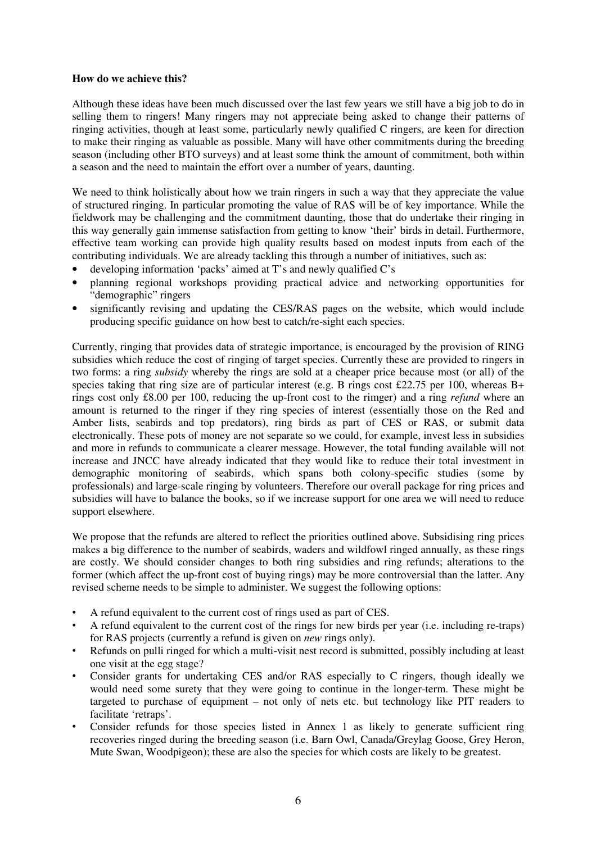## **How do we achieve this?**

Although these ideas have been much discussed over the last few years we still have a big job to do in selling them to ringers! Many ringers may not appreciate being asked to change their patterns of ringing activities, though at least some, particularly newly qualified C ringers, are keen for direction to make their ringing as valuable as possible. Many will have other commitments during the breeding season (including other BTO surveys) and at least some think the amount of commitment, both within a season and the need to maintain the effort over a number of years, daunting.

We need to think holistically about how we train ringers in such a way that they appreciate the value of structured ringing. In particular promoting the value of RAS will be of key importance. While the fieldwork may be challenging and the commitment daunting, those that do undertake their ringing in this way generally gain immense satisfaction from getting to know 'their' birds in detail. Furthermore, effective team working can provide high quality results based on modest inputs from each of the contributing individuals. We are already tackling this through a number of initiatives, such as:

- developing information 'packs' aimed at T's and newly qualified C's
- planning regional workshops providing practical advice and networking opportunities for "demographic" ringers
- significantly revising and updating the CES/RAS pages on the website, which would include producing specific guidance on how best to catch/re-sight each species.

Currently, ringing that provides data of strategic importance, is encouraged by the provision of RING subsidies which reduce the cost of ringing of target species. Currently these are provided to ringers in two forms: a ring *subsidy* whereby the rings are sold at a cheaper price because most (or all) of the species taking that ring size are of particular interest (e.g. B rings cost £22.75 per 100, whereas B+ rings cost only £8.00 per 100, reducing the up-front cost to the rimger) and a ring *refund* where an amount is returned to the ringer if they ring species of interest (essentially those on the Red and Amber lists, seabirds and top predators), ring birds as part of CES or RAS, or submit data electronically. These pots of money are not separate so we could, for example, invest less in subsidies and more in refunds to communicate a clearer message. However, the total funding available will not increase and JNCC have already indicated that they would like to reduce their total investment in demographic monitoring of seabirds, which spans both colony-specific studies (some by professionals) and large-scale ringing by volunteers. Therefore our overall package for ring prices and subsidies will have to balance the books, so if we increase support for one area we will need to reduce support elsewhere.

We propose that the refunds are altered to reflect the priorities outlined above. Subsidising ring prices makes a big difference to the number of seabirds, waders and wildfowl ringed annually, as these rings are costly. We should consider changes to both ring subsidies and ring refunds; alterations to the former (which affect the up-front cost of buying rings) may be more controversial than the latter. Any revised scheme needs to be simple to administer. We suggest the following options:

- A refund equivalent to the current cost of rings used as part of CES.
- A refund equivalent to the current cost of the rings for new birds per year (i.e. including re-traps) for RAS projects (currently a refund is given on *new* rings only).
- Refunds on pulli ringed for which a multi-visit nest record is submitted, possibly including at least one visit at the egg stage?
- Consider grants for undertaking CES and/or RAS especially to C ringers, though ideally we would need some surety that they were going to continue in the longer-term. These might be targeted to purchase of equipment – not only of nets etc. but technology like PIT readers to facilitate 'retraps'.
- Consider refunds for those species listed in Annex 1 as likely to generate sufficient ring recoveries ringed during the breeding season (i.e. Barn Owl, Canada/Greylag Goose, Grey Heron, Mute Swan, Woodpigeon); these are also the species for which costs are likely to be greatest.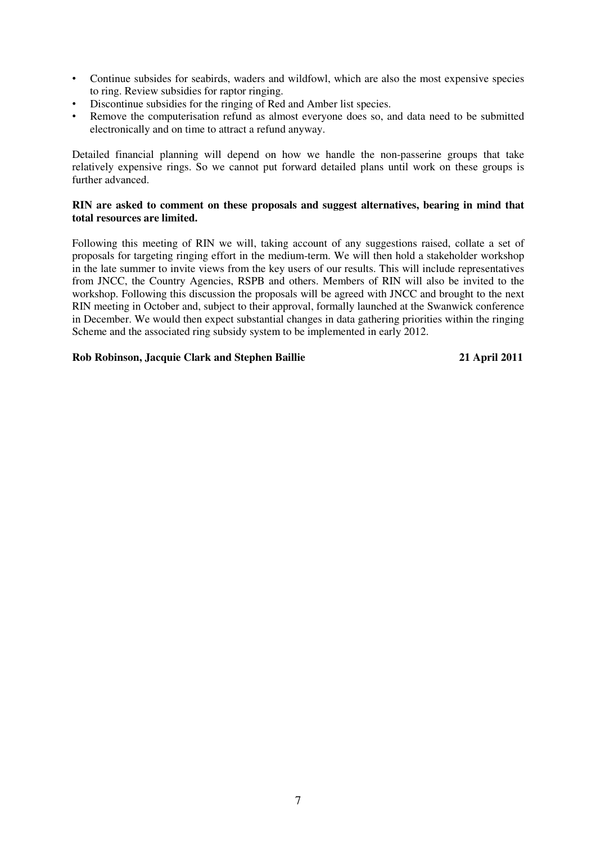- Continue subsides for seabirds, waders and wildfowl, which are also the most expensive species to ring. Review subsidies for raptor ringing.
- Discontinue subsidies for the ringing of Red and Amber list species.
- Remove the computerisation refund as almost everyone does so, and data need to be submitted electronically and on time to attract a refund anyway.

Detailed financial planning will depend on how we handle the non-passerine groups that take relatively expensive rings. So we cannot put forward detailed plans until work on these groups is further advanced.

# **RIN are asked to comment on these proposals and suggest alternatives, bearing in mind that total resources are limited.**

Following this meeting of RIN we will, taking account of any suggestions raised, collate a set of proposals for targeting ringing effort in the medium-term. We will then hold a stakeholder workshop in the late summer to invite views from the key users of our results. This will include representatives from JNCC, the Country Agencies, RSPB and others. Members of RIN will also be invited to the workshop. Following this discussion the proposals will be agreed with JNCC and brought to the next RIN meeting in October and, subject to their approval, formally launched at the Swanwick conference in December. We would then expect substantial changes in data gathering priorities within the ringing Scheme and the associated ring subsidy system to be implemented in early 2012.

# **Rob Robinson, Jacquie Clark and Stephen Baillie 21 April 2011**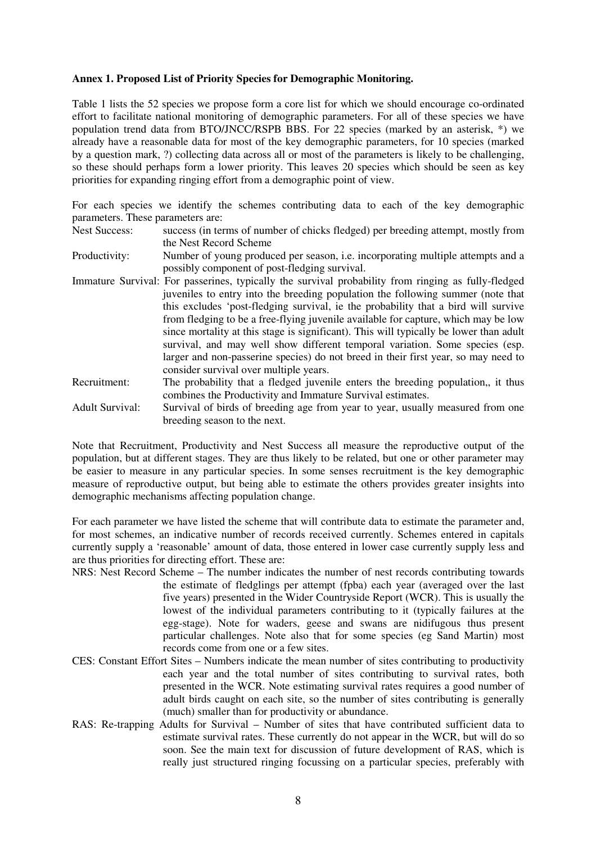### **Annex 1. Proposed List of Priority Species for Demographic Monitoring.**

Table 1 lists the 52 species we propose form a core list for which we should encourage co-ordinated effort to facilitate national monitoring of demographic parameters. For all of these species we have population trend data from BTO/JNCC/RSPB BBS. For 22 species (marked by an asterisk, \*) we already have a reasonable data for most of the key demographic parameters, for 10 species (marked by a question mark, ?) collecting data across all or most of the parameters is likely to be challenging, so these should perhaps form a lower priority. This leaves 20 species which should be seen as key priorities for expanding ringing effort from a demographic point of view.

For each species we identify the schemes contributing data to each of the key demographic parameters. These parameters are:

- Nest Success: success (in terms of number of chicks fledged) per breeding attempt, mostly from the Nest Record Scheme
- Productivity: Number of young produced per season, i.e. incorporating multiple attempts and a possibly component of post-fledging survival.
- Immature Survival: For passerines, typically the survival probability from ringing as fully-fledged juveniles to entry into the breeding population the following summer (note that this excludes 'post-fledging survival, ie the probability that a bird will survive from fledging to be a free-flying juvenile available for capture, which may be low since mortality at this stage is significant). This will typically be lower than adult survival, and may well show different temporal variation. Some species (esp. larger and non-passerine species) do not breed in their first year, so may need to consider survival over multiple years.
- Recruitment: The probability that a fledged juvenile enters the breeding population,, it thus combines the Productivity and Immature Survival estimates.
- Adult Survival: Survival of birds of breeding age from year to year, usually measured from one breeding season to the next.

Note that Recruitment, Productivity and Nest Success all measure the reproductive output of the population, but at different stages. They are thus likely to be related, but one or other parameter may be easier to measure in any particular species. In some senses recruitment is the key demographic measure of reproductive output, but being able to estimate the others provides greater insights into demographic mechanisms affecting population change.

For each parameter we have listed the scheme that will contribute data to estimate the parameter and, for most schemes, an indicative number of records received currently. Schemes entered in capitals currently supply a 'reasonable' amount of data, those entered in lower case currently supply less and are thus priorities for directing effort. These are:

- NRS: Nest Record Scheme The number indicates the number of nest records contributing towards the estimate of fledglings per attempt (fpba) each year (averaged over the last five years) presented in the Wider Countryside Report (WCR). This is usually the lowest of the individual parameters contributing to it (typically failures at the egg-stage). Note for waders, geese and swans are nidifugous thus present particular challenges. Note also that for some species (eg Sand Martin) most records come from one or a few sites.
- CES: Constant Effort Sites Numbers indicate the mean number of sites contributing to productivity each year and the total number of sites contributing to survival rates, both presented in the WCR. Note estimating survival rates requires a good number of adult birds caught on each site, so the number of sites contributing is generally (much) smaller than for productivity or abundance.
- RAS: Re-trapping Adults for Survival Number of sites that have contributed sufficient data to estimate survival rates. These currently do not appear in the WCR, but will do so soon. See the main text for discussion of future development of RAS, which is really just structured ringing focussing on a particular species, preferably with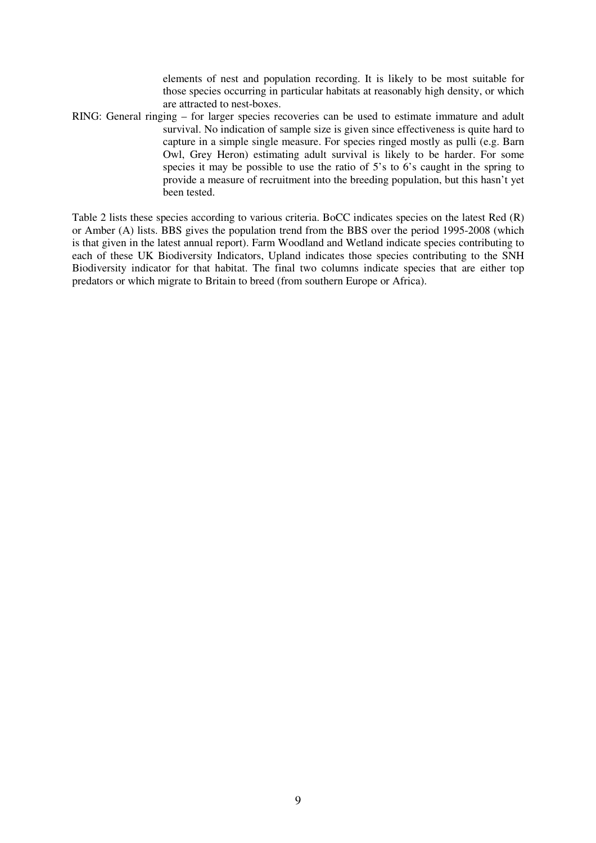elements of nest and population recording. It is likely to be most suitable for those species occurring in particular habitats at reasonably high density, or which are attracted to nest-boxes.

RING: General ringing – for larger species recoveries can be used to estimate immature and adult survival. No indication of sample size is given since effectiveness is quite hard to capture in a simple single measure. For species ringed mostly as pulli (e.g. Barn Owl, Grey Heron) estimating adult survival is likely to be harder. For some species it may be possible to use the ratio of 5's to 6's caught in the spring to provide a measure of recruitment into the breeding population, but this hasn't yet been tested.

Table 2 lists these species according to various criteria. BoCC indicates species on the latest Red (R) or Amber (A) lists. BBS gives the population trend from the BBS over the period 1995-2008 (which is that given in the latest annual report). Farm Woodland and Wetland indicate species contributing to each of these UK Biodiversity Indicators, Upland indicates those species contributing to the SNH Biodiversity indicator for that habitat. The final two columns indicate species that are either top predators or which migrate to Britain to breed (from southern Europe or Africa).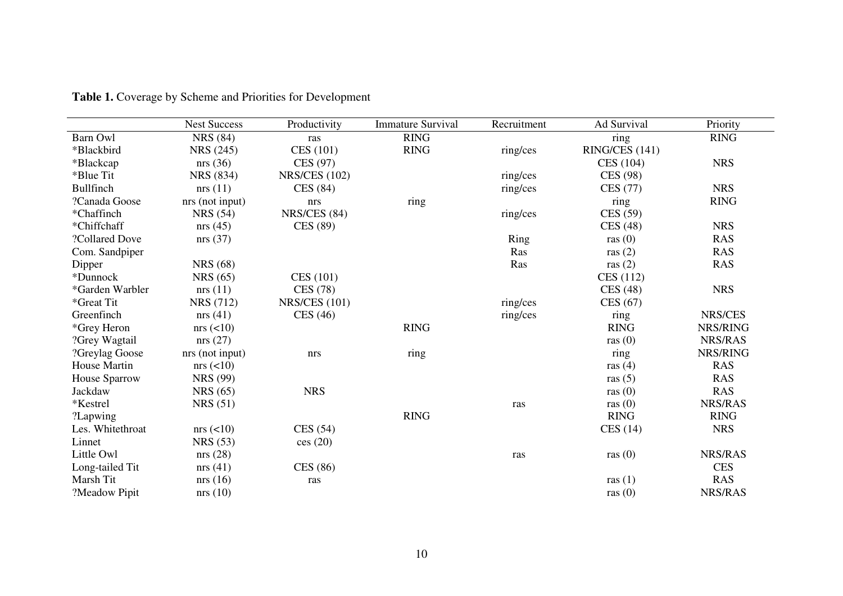|                     | <b>Nest Success</b> | Productivity         | <b>Immature Survival</b> | Recruitment | Ad Survival    | Priority    |
|---------------------|---------------------|----------------------|--------------------------|-------------|----------------|-------------|
| Barn Owl            | <b>NRS</b> (84)     | ras                  | <b>RING</b>              |             | ring           | <b>RING</b> |
| *Blackbird          | NRS (245)           | CES (101)            | <b>RING</b>              | ring/ces    | RING/CES (141) |             |
| *Blackcap           | nrs(36)             | CES (97)             |                          |             | CES (104)      | <b>NRS</b>  |
| *Blue Tit           | NRS (834)           | <b>NRS/CES (102)</b> |                          | ring/ces    | CES (98)       |             |
| Bullfinch           | nrs(11)             | CES (84)             |                          | ring/ces    | CES (77)       | <b>NRS</b>  |
| ?Canada Goose       | nrs (not input)     | nrs                  | ring                     |             | ring           | <b>RING</b> |
| *Chaffinch          | <b>NRS</b> (54)     | <b>NRS/CES (84)</b>  |                          | ring/ces    | CES (59)       |             |
| *Chiffchaff         | nrs(45)             | CES (89)             |                          |             | CES(48)        | <b>NRS</b>  |
| ?Collared Dove      | nrs(37)             |                      |                          | Ring        | ras $(0)$      | <b>RAS</b>  |
| Com. Sandpiper      |                     |                      |                          | Ras         | ras $(2)$      | <b>RAS</b>  |
| Dipper              | <b>NRS</b> (68)     |                      |                          | Ras         | ras $(2)$      | <b>RAS</b>  |
| *Dunnock            | <b>NRS</b> (65)     | CES (101)            |                          |             | CES (112)      |             |
| *Garden Warbler     | nrs(11)             | CES (78)             |                          |             | CES(48)        | <b>NRS</b>  |
| *Great Tit          | <b>NRS</b> (712)    | <b>NRS/CES (101)</b> |                          | ring/ces    | CES $(67)$     |             |
| Greenfinch          | nrs(41)             | CES(46)              |                          | ring/ces    | ring           | NRS/CES     |
| *Grey Heron         | $nrs \leqslant 10$  |                      | <b>RING</b>              |             | <b>RING</b>    | NRS/RING    |
| ?Grey Wagtail       | nrs(27)             |                      |                          |             | ras $(0)$      | NRS/RAS     |
| ?Greylag Goose      | nrs (not input)     | nrs                  | ring                     |             | ring           | NRS/RING    |
| <b>House Martin</b> | $nrs \approx (210)$ |                      |                          |             | ras $(4)$      | <b>RAS</b>  |
| House Sparrow       | <b>NRS</b> (99)     |                      |                          |             | ras $(5)$      | <b>RAS</b>  |
| Jackdaw             | <b>NRS</b> (65)     | <b>NRS</b>           |                          |             | ras $(0)$      | <b>RAS</b>  |
| *Kestrel            | NRS(51)             |                      |                          | ras         | ras $(0)$      | NRS/RAS     |
| ?Lapwing            |                     |                      | <b>RING</b>              |             | <b>RING</b>    | <b>RING</b> |
| Les. Whitethroat    | $nrs \leqslant 10$  | CES(54)              |                          |             | CES(14)        | <b>NRS</b>  |
| Linnet              | <b>NRS</b> (53)     | ces(20)              |                          |             |                |             |
| Little Owl          | nrs(28)             |                      |                          | ras         | ras $(0)$      | NRS/RAS     |
| Long-tailed Tit     | nrs(41)             | <b>CES</b> (86)      |                          |             |                | <b>CES</b>  |
| Marsh Tit           | nrs(16)             | ras                  |                          |             | ras $(1)$      | <b>RAS</b>  |
| ?Meadow Pipit       | nrs(10)             |                      |                          |             | ras $(0)$      | NRS/RAS     |

**Table 1.** Coverage by Scheme and Priorities for Development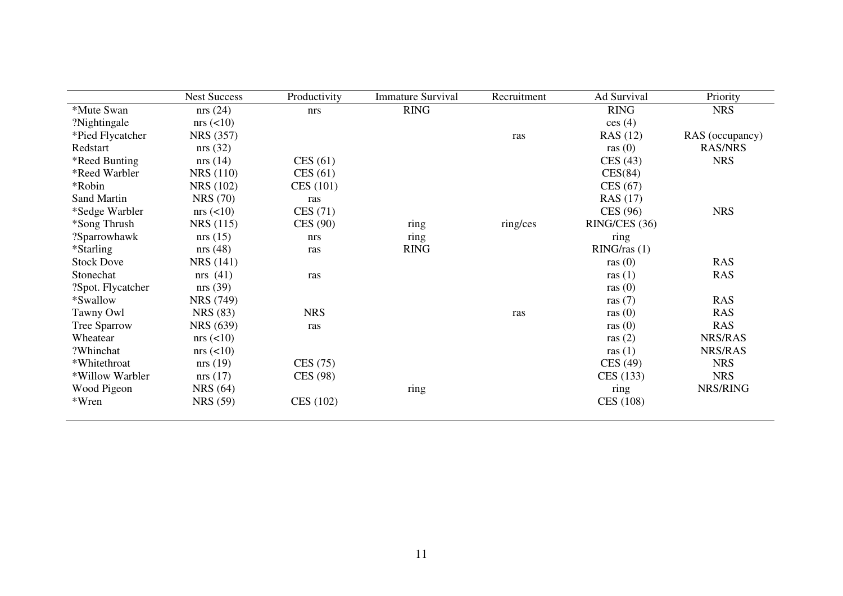|                   | <b>Nest Success</b> | Productivity    | <b>Immature Survival</b> | Recruitment | Ad Survival     | Priority        |
|-------------------|---------------------|-----------------|--------------------------|-------------|-----------------|-----------------|
| *Mute Swan        | nrs(24)             | nrs             | <b>RING</b>              |             | <b>RING</b>     | <b>NRS</b>      |
| ?Nightingale      | $nrs \leqslant 10$  |                 |                          |             | ces(4)          |                 |
| *Pied Flycatcher  | <b>NRS</b> (357)    |                 |                          | ras         | <b>RAS</b> (12) | RAS (occupancy) |
| Redstart          | nrs(32)             |                 |                          |             | ras $(0)$       | <b>RAS/NRS</b>  |
| *Reed Bunting     | nrs(14)             | CES(61)         |                          |             | CES(43)         | <b>NRS</b>      |
| *Reed Warbler     | <b>NRS</b> (110)    | CES(61)         |                          |             | CES(84)         |                 |
| *Robin            | <b>NRS</b> (102)    | CES(101)        |                          |             | CES(67)         |                 |
| Sand Martin       | <b>NRS</b> (70)     | ras             |                          |             | <b>RAS</b> (17) |                 |
| *Sedge Warbler    | $nrs \leqslant 10$  | CES(71)         |                          |             | CES (96)        | <b>NRS</b>      |
| *Song Thrush      | NRS (115)           | <b>CES</b> (90) | ring                     | ring/ces    | RING/CES (36)   |                 |
| ?Sparrowhawk      | nrs(15)             | nrs             | ring                     |             | ring            |                 |
| *Starling         | nrs(48)             | ras             | <b>RING</b>              |             | RING/ras(1)     |                 |
| <b>Stock Dove</b> | <b>NRS</b> (141)    |                 |                          |             | ras $(0)$       | <b>RAS</b>      |
| Stonechat         | nrs(41)             | ras             |                          |             | ras $(1)$       | <b>RAS</b>      |
| ?Spot. Flycatcher | nrs(39)             |                 |                          |             | ras $(0)$       |                 |
| *Swallow          | <b>NRS</b> (749)    |                 |                          |             | ras $(7)$       | <b>RAS</b>      |
| Tawny Owl         | <b>NRS</b> (83)     | <b>NRS</b>      |                          | ras         | ras $(0)$       | <b>RAS</b>      |
| Tree Sparrow      | <b>NRS</b> (639)    | ras             |                          |             | ras $(0)$       | <b>RAS</b>      |
| Wheatear          | $nrs \leqslant 10$  |                 |                          |             | ras $(2)$       | NRS/RAS         |
| ?Whinchat         | $nrs \leqslant 10$  |                 |                          |             | ras $(1)$       | NRS/RAS         |
| *Whitethroat      | nrs(19)             | CES(75)         |                          |             | CES (49)        | <b>NRS</b>      |
| *Willow Warbler   | nrs(17)             | CES (98)        |                          |             | CES (133)       | <b>NRS</b>      |
| Wood Pigeon       | <b>NRS</b> (64)     |                 | ring                     |             | ring            | NRS/RING        |
| *Wren             | <b>NRS</b> (59)     | CES (102)       |                          |             | CES (108)       |                 |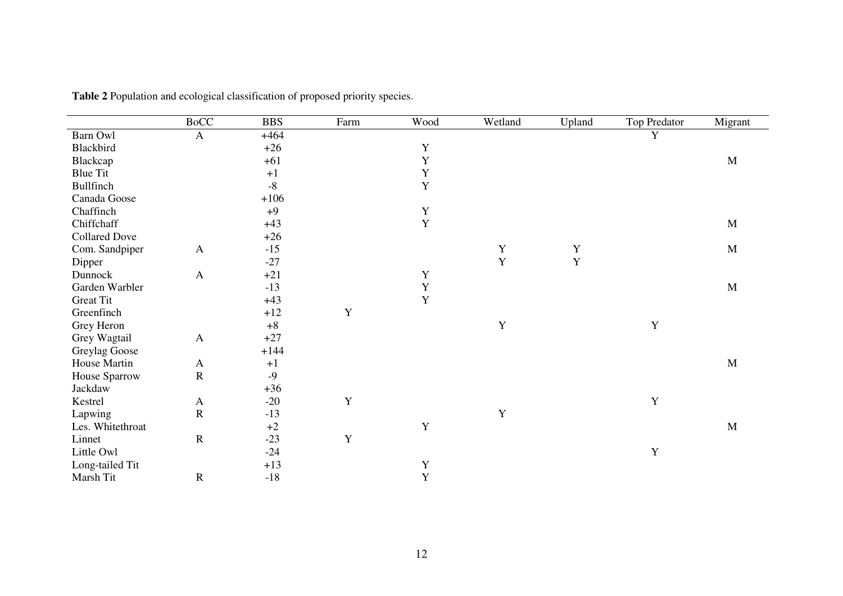|                      | <b>BoCC</b>  | <b>BBS</b> | Farm        | Wood         | Wetland     | Upland      | <b>Top Predator</b> | Migrant     |
|----------------------|--------------|------------|-------------|--------------|-------------|-------------|---------------------|-------------|
| Barn Owl             | $\mathbf{A}$ | $+464$     |             |              |             |             | Y                   |             |
| Blackbird            |              | $+26$      |             | $\mathbf Y$  |             |             |                     |             |
| Blackcap             |              | $+61$      |             | Y            |             |             |                     | $\mathbf M$ |
| <b>Blue Tit</b>      |              | $+1$       |             | $\mathbf Y$  |             |             |                     |             |
| Bullfinch            |              | $-8$       |             | $\mathbf{Y}$ |             |             |                     |             |
| Canada Goose         |              | $+106$     |             |              |             |             |                     |             |
| Chaffinch            |              | $+9$       |             | $\mathbf Y$  |             |             |                     |             |
| Chiffchaff           |              | $+43$      |             | $\mathbf Y$  |             |             |                     | $\mathbf M$ |
| <b>Collared Dove</b> |              | $+26$      |             |              |             |             |                     |             |
| Com. Sandpiper       | $\mathbf{A}$ | $-15$      |             |              | $\mathbf Y$ | $\mathbf Y$ |                     | $\mathbf M$ |
| Dipper               |              | $-27$      |             |              | Y           | Y           |                     |             |
| Dunnock              | $\mathbf{A}$ | $+21$      |             | $\mathbf Y$  |             |             |                     |             |
| Garden Warbler       |              | $-13$      |             | $\mathbf Y$  |             |             |                     | $\mathbf M$ |
| <b>Great Tit</b>     |              | $+43$      |             | Y            |             |             |                     |             |
| Greenfinch           |              | $+12$      | $\mathbf Y$ |              |             |             |                     |             |
| Grey Heron           |              | $+8$       |             |              | $\mathbf Y$ |             | Y                   |             |
| Grey Wagtail         | $\mathbf{A}$ | $+27$      |             |              |             |             |                     |             |
| Greylag Goose        |              | $+144$     |             |              |             |             |                     |             |
| House Martin         | $\mathbf{A}$ | $+1$       |             |              |             |             |                     | $\mathbf M$ |
| House Sparrow        | ${\bf R}$    | $-9$       |             |              |             |             |                     |             |
| Jackdaw              |              | $+36$      |             |              |             |             |                     |             |
| Kestrel              | $\mathbf{A}$ | $-20$      | Y           |              |             |             | Y                   |             |
| Lapwing              | ${\bf R}$    | $-13$      |             |              | $\mathbf Y$ |             |                     |             |
| Les. Whitethroat     |              | $+2$       |             | $\mathbf Y$  |             |             |                     | $\mathbf M$ |
| Linnet               | ${\bf R}$    | $-23$      | $\mathbf Y$ |              |             |             |                     |             |
| Little Owl           |              | $-24$      |             |              |             |             | $\mathbf Y$         |             |
| Long-tailed Tit      |              | $+13$      |             | Y            |             |             |                     |             |
| Marsh Tit            | $\mathbf R$  | $-18$      |             | Y            |             |             |                     |             |

**Table 2** Population and ecological classification of proposed priority species.